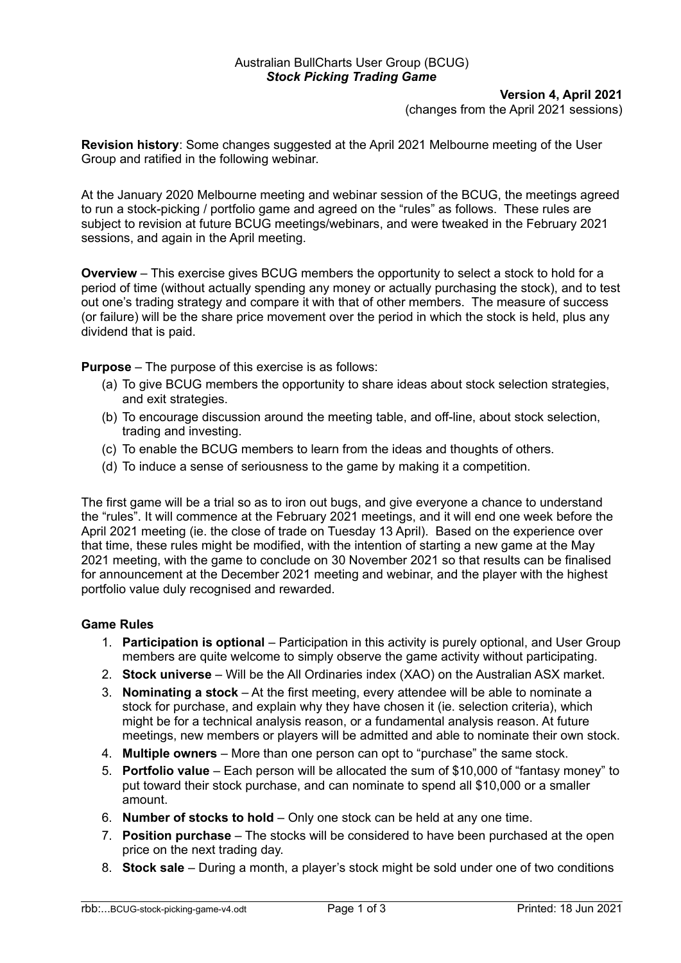## Australian BullCharts User Group (BCUG) *Stock Picking Trading Game*

## **Version 4, April 2021**

(changes from the April 2021 sessions)

**Revision history**: Some changes suggested at the April 2021 Melbourne meeting of the User Group and ratified in the following webinar.

At the January 2020 Melbourne meeting and webinar session of the BCUG, the meetings agreed to run a stock-picking / portfolio game and agreed on the "rules" as follows. These rules are subject to revision at future BCUG meetings/webinars, and were tweaked in the February 2021 sessions, and again in the April meeting.

**Overview** – This exercise gives BCUG members the opportunity to select a stock to hold for a period of time (without actually spending any money or actually purchasing the stock), and to test out one's trading strategy and compare it with that of other members. The measure of success (or failure) will be the share price movement over the period in which the stock is held, plus any dividend that is paid.

**Purpose** – The purpose of this exercise is as follows:

- (a) To give BCUG members the opportunity to share ideas about stock selection strategies, and exit strategies.
- (b) To encourage discussion around the meeting table, and off-line, about stock selection, trading and investing.
- (c) To enable the BCUG members to learn from the ideas and thoughts of others.
- (d) To induce a sense of seriousness to the game by making it a competition.

The first game will be a trial so as to iron out bugs, and give everyone a chance to understand the "rules". It will commence at the February 2021 meetings, and it will end one week before the April 2021 meeting (ie. the close of trade on Tuesday 13 April). Based on the experience over that time, these rules might be modified, with the intention of starting a new game at the May 2021 meeting, with the game to conclude on 30 November 2021 so that results can be finalised for announcement at the December 2021 meeting and webinar, and the player with the highest portfolio value duly recognised and rewarded.

## **Game Rules**

- 1. **Participation is optional** Participation in this activity is purely optional, and User Group members are quite welcome to simply observe the game activity without participating.
- 2. **Stock universe** Will be the All Ordinaries index (XAO) on the Australian ASX market.
- 3. **Nominating a stock** At the first meeting, every attendee will be able to nominate a stock for purchase, and explain why they have chosen it (ie. selection criteria), which might be for a technical analysis reason, or a fundamental analysis reason. At future meetings, new members or players will be admitted and able to nominate their own stock.
- 4. **Multiple owners** More than one person can opt to "purchase" the same stock.
- 5. **Portfolio value** Each person will be allocated the sum of \$10,000 of "fantasy money" to put toward their stock purchase, and can nominate to spend all \$10,000 or a smaller amount.
- 6. **Number of stocks to hold** Only one stock can be held at any one time.
- 7. **Position purchase** The stocks will be considered to have been purchased at the open price on the next trading day.
- 8. **Stock sale** During a month, a player's stock might be sold under one of two conditions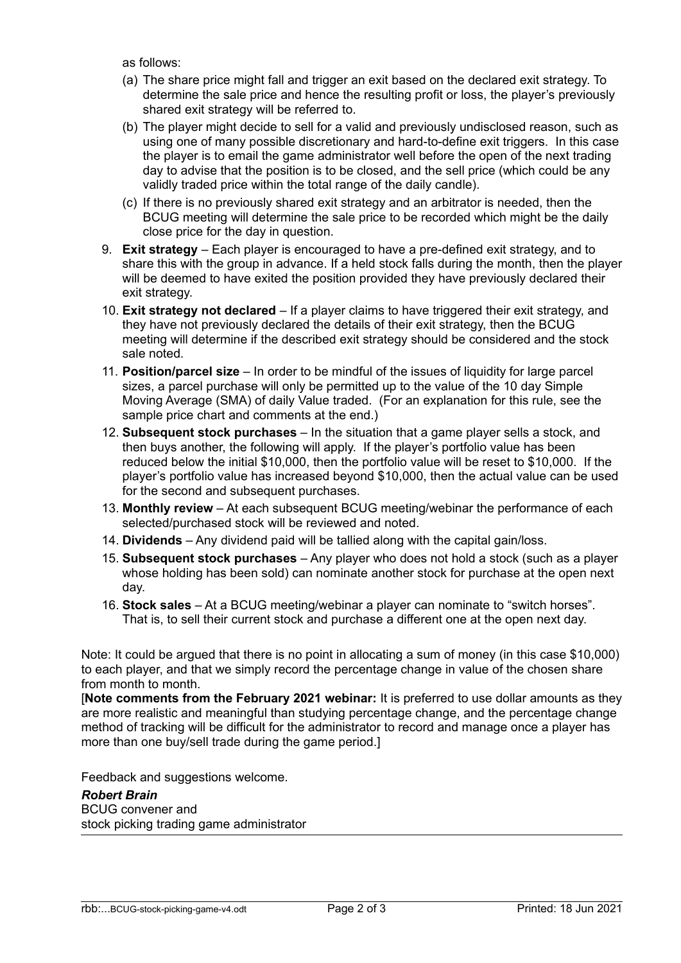as follows:

- (a) The share price might fall and trigger an exit based on the declared exit strategy. To determine the sale price and hence the resulting profit or loss, the player's previously shared exit strategy will be referred to.
- (b) The player might decide to sell for a valid and previously undisclosed reason, such as using one of many possible discretionary and hard-to-define exit triggers. In this case the player is to email the game administrator well before the open of the next trading day to advise that the position is to be closed, and the sell price (which could be any validly traded price within the total range of the daily candle).
- (c) If there is no previously shared exit strategy and an arbitrator is needed, then the BCUG meeting will determine the sale price to be recorded which might be the daily close price for the day in question.
- 9. **Exit strategy**  Each player is encouraged to have a pre-defined exit strategy, and to share this with the group in advance. If a held stock falls during the month, then the player will be deemed to have exited the position provided they have previously declared their exit strategy.
- 10. **Exit strategy not declared** If a player claims to have triggered their exit strategy, and they have not previously declared the details of their exit strategy, then the BCUG meeting will determine if the described exit strategy should be considered and the stock sale noted.
- 11. **Position/parcel size** In order to be mindful of the issues of liquidity for large parcel sizes, a parcel purchase will only be permitted up to the value of the 10 day Simple Moving Average (SMA) of daily Value traded. (For an explanation for this rule, see the sample price chart and comments at the end.)
- 12. **Subsequent stock purchases** In the situation that a game player sells a stock, and then buys another, the following will apply. If the player's portfolio value has been reduced below the initial \$10,000, then the portfolio value will be reset to \$10,000. If the player's portfolio value has increased beyond \$10,000, then the actual value can be used for the second and subsequent purchases.
- 13. **Monthly review** At each subsequent BCUG meeting/webinar the performance of each selected/purchased stock will be reviewed and noted.
- 14. **Dividends** Any dividend paid will be tallied along with the capital gain/loss.
- 15. **Subsequent stock purchases** Any player who does not hold a stock (such as a player whose holding has been sold) can nominate another stock for purchase at the open next day.
- 16. **Stock sales** At a BCUG meeting/webinar a player can nominate to "switch horses". That is, to sell their current stock and purchase a different one at the open next day.

Note: It could be argued that there is no point in allocating a sum of money (in this case \$10,000) to each player, and that we simply record the percentage change in value of the chosen share from month to month.

[**Note comments from the February 2021 webinar:** It is preferred to use dollar amounts as they are more realistic and meaningful than studying percentage change, and the percentage change method of tracking will be difficult for the administrator to record and manage once a player has more than one buy/sell trade during the game period.]

Feedback and suggestions welcome.

*Robert Brain* BCUG convener and stock picking trading game administrator